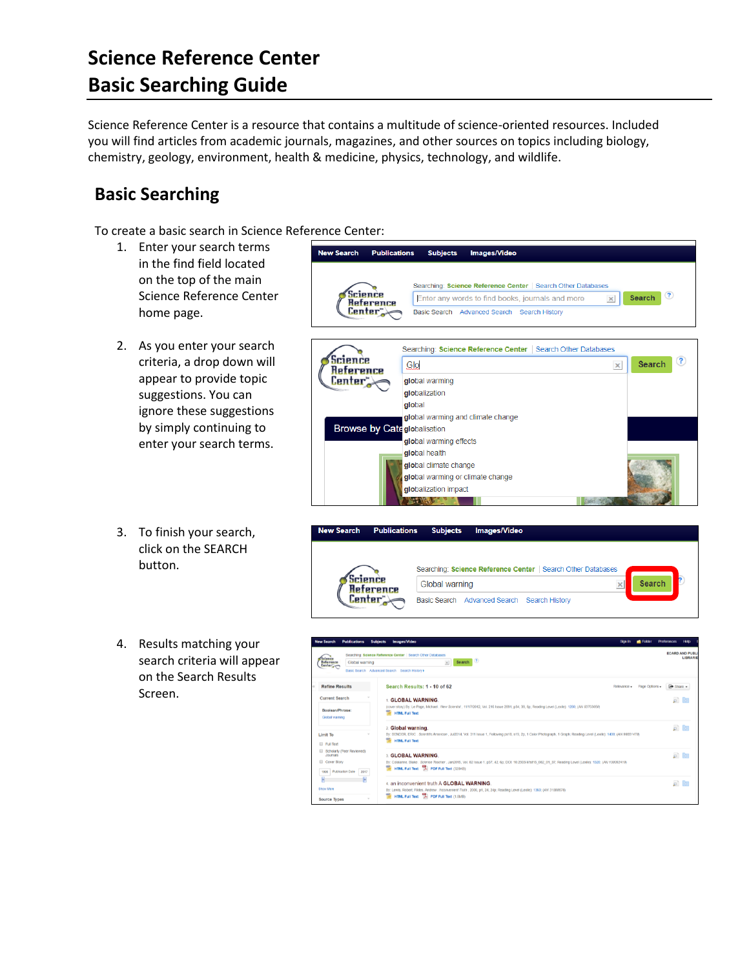## **Science Reference Center Basic Searching Guide**

Science Reference Center is a resource that contains a multitude of science-oriented resources. Included you will find articles from academic journals, magazines, and other sources on topics including biology, chemistry, geology, environment, health & medicine, physics, technology, and wildlife.

## **Basic Searching**

To create a basic search in Science Reference Center:

- 1. Enter your search terms in the find field located on the top of the main Science Reference Center home page.
- 2. As you enter your search criteria, a drop down will appear to provide topic suggestions. You can ignore these suggestions by simply continuing to enter your search terms.
- 3. To finish your search, click on the SEARCH button.
- 4. Results matching your search criteria will appear on the Search Results Screen.